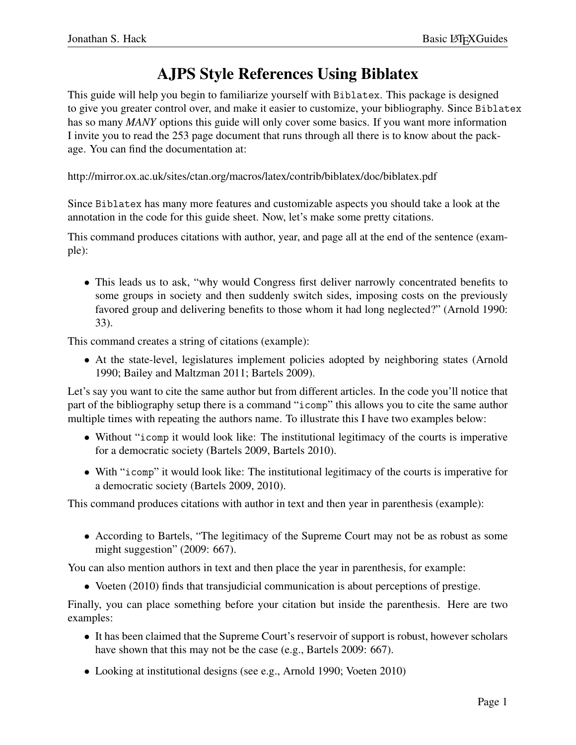## AJPS Style References Using Biblatex

This guide will help you begin to familiarize yourself with Biblatex. This package is designed to give you greater control over, and make it easier to customize, your bibliography. Since Biblatex has so many *MANY* options this guide will only cover some basics. If you want more information I invite you to read the 253 page document that runs through all there is to know about the package. You can find the documentation at:

http://mirror.ox.ac.uk/sites/ctan.org/macros/latex/contrib/biblatex/doc/biblatex.pdf

Since Biblatex has many more features and customizable aspects you should take a look at the annotation in the code for this guide sheet. Now, let's make some pretty citations.

This command produces citations with author, year, and page all at the end of the sentence (example):

• This leads us to ask, "why would Congress first deliver narrowly concentrated benefits to some groups in society and then suddenly switch sides, imposing costs on the previously favored group and delivering benefits to those whom it had long neglected?" (Arnold 1990: 33).

This command creates a string of citations (example):

• At the state-level, legislatures implement policies adopted by neighboring states (Arnold 1990; Bailey and Maltzman 2011; Bartels 2009).

Let's say you want to cite the same author but from different articles. In the code you'll notice that part of the bibliography setup there is a command "icomp" this allows you to cite the same author multiple times with repeating the authors name. To illustrate this I have two examples below:

- Without "icomp it would look like: The institutional legitimacy of the courts is imperative for a democratic society (Bartels 2009, Bartels 2010).
- With "icomp" it would look like: The institutional legitimacy of the courts is imperative for a democratic society (Bartels 2009, 2010).

This command produces citations with author in text and then year in parenthesis (example):

• According to Bartels, "The legitimacy of the Supreme Court may not be as robust as some might suggestion" (2009: 667).

You can also mention authors in text and then place the year in parenthesis, for example:

• Voeten (2010) finds that transjudicial communication is about perceptions of prestige.

Finally, you can place something before your citation but inside the parenthesis. Here are two examples:

- It has been claimed that the Supreme Court's reservoir of support is robust, however scholars have shown that this may not be the case (e.g., Bartels 2009: 667).
- Looking at institutional designs (see e.g., Arnold 1990; Voeten 2010)